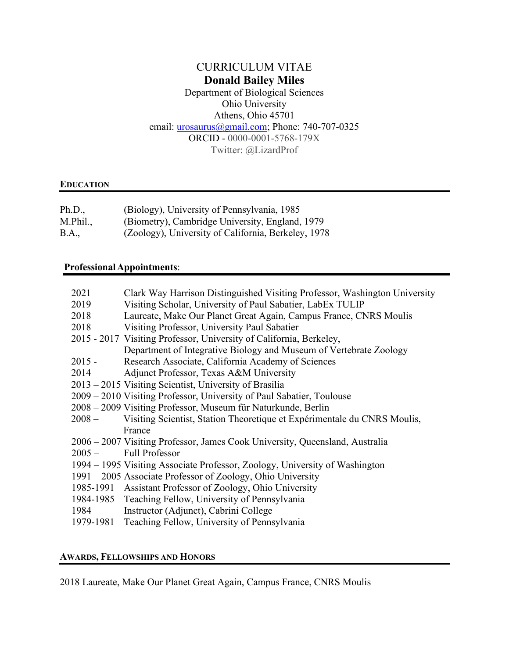# CURRICULUM VITAE **Donald Bailey Miles**

Department of Biological Sciences Ohio University Athens, Ohio 45701 email: *urosaurus@gmail.com*; Phone: 740-707-0325 ORCID - 0000-0001-5768-179X Twitter: @LizardProf

# **EDUCATION**

| Ph.D.,   | (Biology), University of Pennsylvania, 1985         |
|----------|-----------------------------------------------------|
| M.Phil., | (Biometry), Cambridge University, England, 1979     |
| B.A.,    | (Zoology), University of California, Berkeley, 1978 |

# **ProfessionalAppointments**:

| 2021      | Clark Way Harrison Distinguished Visiting Professor, Washington University   |
|-----------|------------------------------------------------------------------------------|
| 2019      | Visiting Scholar, University of Paul Sabatier, LabEx TULIP                   |
| 2018      | Laureate, Make Our Planet Great Again, Campus France, CNRS Moulis            |
| 2018      | Visiting Professor, University Paul Sabatier                                 |
|           | 2015 - 2017 Visiting Professor, University of California, Berkeley,          |
|           | Department of Integrative Biology and Museum of Vertebrate Zoology           |
| $2015 -$  | Research Associate, California Academy of Sciences                           |
| 2014      | Adjunct Professor, Texas A&M University                                      |
|           | 2013 – 2015 Visiting Scientist, University of Brasilia                       |
|           | 2009 – 2010 Visiting Professor, University of Paul Sabatier, Toulouse        |
|           | 2008 – 2009 Visiting Professor, Museum für Naturkunde, Berlin                |
| $2008 -$  | Visiting Scientist, Station Theoretique et Expérimentale du CNRS Moulis,     |
|           | France                                                                       |
|           | 2006 - 2007 Visiting Professor, James Cook University, Queensland, Australia |
| $2005 -$  | <b>Full Professor</b>                                                        |
|           | 1994 – 1995 Visiting Associate Professor, Zoology, University of Washington  |
|           | 1991 – 2005 Associate Professor of Zoology, Ohio University                  |
|           | 1985-1991 Assistant Professor of Zoology, Ohio University                    |
|           | 1984-1985 Teaching Fellow, University of Pennsylvania                        |
| 1984      | Instructor (Adjunct), Cabrini College                                        |
| 1979-1981 | Teaching Fellow, University of Pennsylvania                                  |
|           |                                                                              |

## **AWARDS, FELLOWSHIPS AND HONORS**

2018 Laureate, Make Our Planet Great Again, Campus France, CNRS Moulis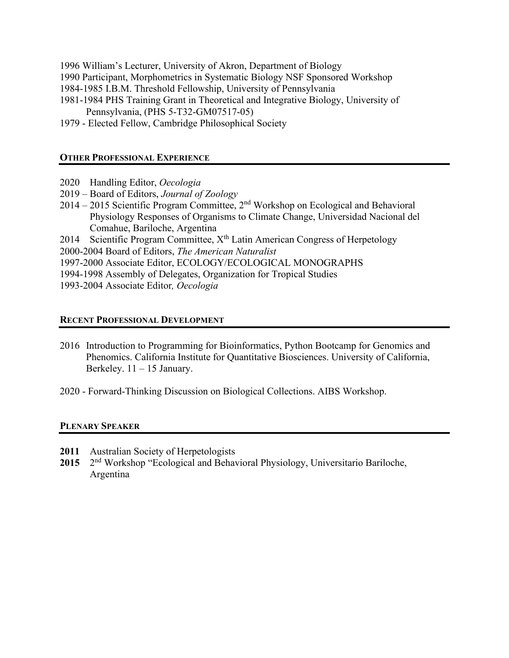- 1996 William's Lecturer, University of Akron, Department of Biology
- 1990 Participant, Morphometrics in Systematic Biology NSF Sponsored Workshop
- 1984-1985 I.B.M. Threshold Fellowship, University of Pennsylvania
- 1981-1984 PHS Training Grant in Theoretical and Integrative Biology, University of Pennsylvania, (PHS 5-T32-GM07517-05)
- 1979 Elected Fellow, Cambridge Philosophical Society

## **OTHER PROFESSIONAL EXPERIENCE**

- 2020 Handling Editor, *Oecologia*
- 2019 Board of Editors, *Journal of Zoology*
- 2014 2015 Scientific Program Committee, 2nd Workshop on Ecological and Behavioral Physiology Responses of Organisms to Climate Change, Universidad Nacional del Comahue, Bariloche, Argentina
- 2014 Scientific Program Committee,  $X<sup>th</sup>$  Latin American Congress of Herpetology
- 2000-2004 Board of Editors, *The American Naturalist*
- 1997-2000 Associate Editor, ECOLOGY/ECOLOGICAL MONOGRAPHS
- 1994-1998 Assembly of Delegates, Organization for Tropical Studies
- 1993-2004 Associate Editor*, Oecologia*

## **RECENT PROFESSIONAL DEVELOPMENT**

- 2016 Introduction to Programming for Bioinformatics, Python Bootcamp for Genomics and Phenomics. California Institute for Quantitative Biosciences. University of California, Berkeley. 11 – 15 January.
- 2020 Forward-Thinking Discussion on Biological Collections. AIBS Workshop.

## **PLENARY SPEAKER**

- **2011** Australian Society of Herpetologists
- **2015** 2nd Workshop "Ecological and Behavioral Physiology, Universitario Bariloche, Argentina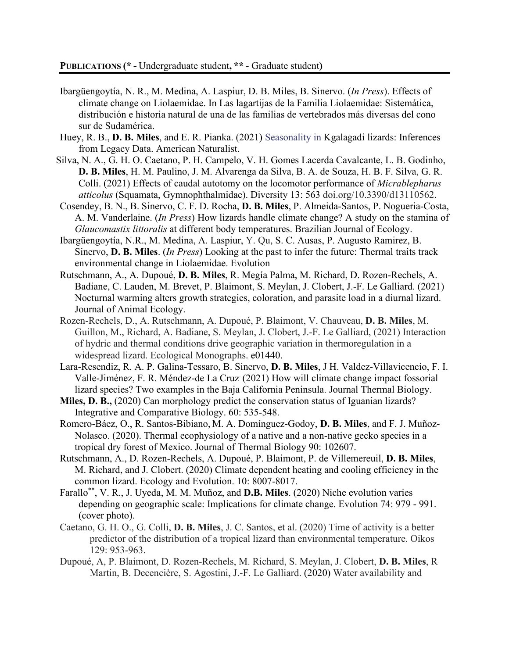- Ibargüengoytía, N. R., M. Medina, A. Laspiur, D. B. Miles, B. Sinervo. (*In Press*). Effects of climate change on Liolaemidae. In Las lagartijas de la Familia Liolaemidae: Sistemática, distribución e historia natural de una de las familias de vertebrados más diversas del cono sur de Sudamérica.
- Huey, R. B., **D. B. Miles**, and E. R. Pianka. (2021) Seasonality in Kgalagadi lizards: Inferences from Legacy Data. American Naturalist.
- Silva, N. A., G. H. O. Caetano, P. H. Campelo, V. H. Gomes Lacerda Cavalcante, L. B. Godinho, **D. B. Miles**, H. M. Paulino, J. M. Alvarenga da Silva, B. A. de Souza, H. B. F. Silva, G. R. Colli. (2021) Effects of caudal autotomy on the locomotor performance of *Micrablepharus atticolus* (Squamata, Gymnophthalmidae). Diversity 13: 563 doi.org/10.3390/d13110562.
- Cosendey, B. N., B. Sinervo, C. F. D. Rocha, **D. B. Miles**, P. Almeida-Santos, P. Nogueria-Costa, A. M. Vanderlaine. (*In Press*) How lizards handle climate change? A study on the stamina of *Glaucomastix littoralis* at different body temperatures. Brazilian Journal of Ecology.
- Ibargüengoytía, N.R., M. Medina, A. Laspiur, Y. Qu, S. C. Ausas, P. Augusto Ramirez, B. Sinervo, **D. B. Miles**. (*In Press*) Looking at the past to infer the future: Thermal traits track environmental change in Liolaemidae. Evolution
- Rutschmann, A., A. Dupoué, **D. B. Miles**, R. Megía Palma, M. Richard, D. Rozen-Rechels, A. Badiane, C. Lauden, M. Brevet, P. Blaimont, S. Meylan, J. Clobert, J.-F. Le Galliard. (2021) Nocturnal warming alters growth strategies, coloration, and parasite load in a diurnal lizard. Journal of Animal Ecology.
- Rozen-Rechels, D., A. Rutschmann, A. Dupoué, P. Blaimont, V. Chauveau, **D. B. Miles**, M. Guillon, M., Richard, A. Badiane, S. Meylan, J. Clobert, J.-F. Le Galliard, (2021) Interaction of hydric and thermal conditions drive geographic variation in thermoregulation in a widespread lizard. Ecological Monographs. e01440.
- Lara-Resendiz, R. A. P. Galina-Tessaro, B. Sinervo, **D. B. Miles**, J H. Valdez-Villavicencio, F. I. Valle-Jiménez, F. R. Méndez-de La Cruz. (2021) How will climate change impact fossorial lizard species? Two examples in the Baja California Peninsula. Journal Thermal Biology.
- **Miles, D. B.,** (2020) Can morphology predict the conservation status of Iguanian lizards? Integrative and Comparative Biology. 60: 535-548.
- Romero-Báez, O., R. Santos-Bibiano, M. A. Domínguez-Godoy, **D. B. Miles**, and F. J. Muñoz-Nolasco. (2020). Thermal ecophysiology of a native and a non-native gecko species in a tropical dry forest of Mexico. Journal of Thermal Biology 90: 102607.
- Rutschmann, A., D. Rozen-Rechels, A. Dupoué, P. Blaimont, P. de Villemereuil, **D. B. Miles**, M. Richard, and J. Clobert. (2020) Climate dependent heating and cooling efficiency in the common lizard. Ecology and Evolution. 10: 8007-8017.
- Farallo\*\*, V. R., J. Uyeda, M. M. Muñoz, and **D.B. Miles**. (2020) Niche evolution varies depending on geographic scale: Implications for climate change. Evolution 74: 979 - 991. (cover photo).
- Caetano, G. H. O., G. Colli, **D. B. Miles**, J. C. Santos, et al. (2020) Time of activity is a better predictor of the distribution of a tropical lizard than environmental temperature. Oikos 129: 953-963.
- Dupoué, A, P. Blaimont, D. Rozen-Rechels, M. Richard, S. Meylan, J. Clobert, **D. B. Miles**, R Martin, B. Decencière, S. Agostini, J.-F. Le Galliard. (2020) Water availability and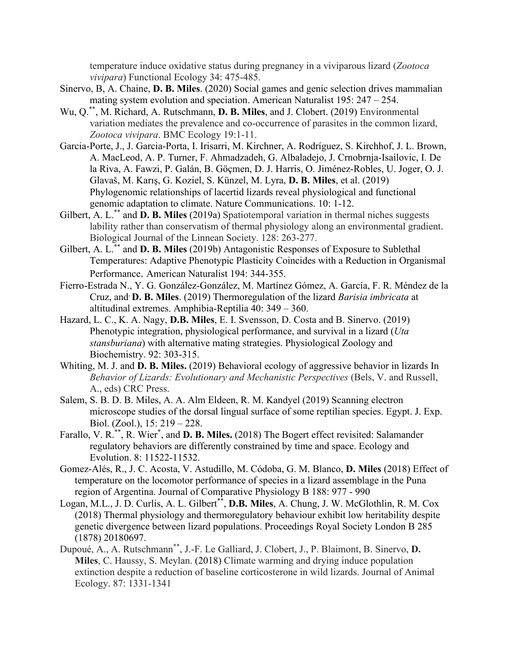temperature induce oxidative status during pregnancy in a viviparous lizard (*Zootoca vivipara*) Functional Ecology 34: 475-485.

- Sinervo, B, A. Chaine, **D. B. Miles**. (2020) Social games and genic selection drives mammalian mating system evolution and speciation. American Naturalist 195: 247 – 254.
- Wu, Q.\*\*, M. Richard, A. Rutschmann, **D. B. Miles**, and J. Clobert. (2019) Environmental variation mediates the prevalence and co-occurrence of parasites in the common lizard, *Zootoca vivipara*. BMC Ecology 19:1-11.
- Garcia-Porte, J., J. Garcia-Porta, I. Irisarri, M. Kirchner, A. Rodríguez, S. Kirchhof, J. L. Brown, A. MacLeod, A. P. Turner, F. Ahmadzadeh, G. Albaladejo, J. Crnobrnja-Isailovic, I. De la Riva, A. Fawzi, P. Galán, B. Göçmen, D. J. Harris, O. Jiménez-Robles, U. Joger, O. J. Glavaš, M. Karış, G. Koziel, S. Künzel, M. Lyra, **D. B. Miles**, et al. (2019) Phylogenomic relationships of lacertid lizards reveal physiological and functional genomic adaptation to climate. Nature Communications. 10: 1-12.
- Gilbert, A. L.<sup>\*\*</sup> and **D. B. Miles** (2019a) Spatiotemporal variation in thermal niches suggests lability rather than conservatism of thermal physiology along an environmental gradient. Biological Journal of the Linnean Society. 128: 263-277.
- Gilbert, A. L.\*\* and **D. B. Miles** (2019b) Antagonistic Responses of Exposure to Sublethal Temperatures: Adaptive Phenotypic Plasticity Coincides with a Reduction in Organismal Performance. American Naturalist 194: 344-355.
- Fierro-Estrada N., Y. G. González-González, M. Martínez Gómez, A. García, F. R. Méndez de la Cruz, and, **D. B. Miles**. (2019) Thermoregulation of the lizard *Barisia imbricata* at altitudinal extremes. Amphibia-Reptilia 40: 349 – 360.
- Hazard, L. C., K. A. Nagy, **D.B. Miles**, E. I. Svensson, D. Costa and B. Sinervo. (2019) Phenotypic integration, physiological performance, and survival in a lizard (*Uta stansburiana*) with alternative mating strategies. Physiological Zoology and Biochemistry. 92: 303-315.
- Whiting, M. J. and **D. B. Miles.** (2019) Behavioral ecology of aggressive behavior in lizards In *Behavior of Lizards: Evolutionary and Mechanistic Perspectives* (Bels, V. and Russell, A., eds) CRC Press.
- Salem, S. B. D. B. Miles, A. A. Alm Eldeen, R. M. Kandyel (2019) Scanning electron microscope studies of the dorsal lingual surface of some reptilian species. Egypt. J. Exp. Biol. (Zool.), 15: 219 – 228.
- Farallo, V. R.<sup>\*\*</sup>, R. Wier<sup>\*</sup>, and **D. B. Miles.** (2018) The Bogert effect revisited: Salamander regulatory behaviors are differently constrained by time and space. Ecology and Evolution. 8: 11522-11532.
- Gomez-Alés, R., J. C. Acosta, V. Astudillo, M. Códoba, G. M. Blanco, **D. Miles** (2018) Effect of temperature on the locomotor performance of species in a lizard assemblage in the Puna region of Argentina. Journal of Comparative Physiology B 188: 977 - 990
- Logan, M.L., J. D. Curlis, A. L. Gilbert\*\*, **D.B. Miles**, A. Chung, J. W. McGlothlin, R. M. Cox (2018) Thermal physiology and thermoregulatory behaviour exhibit low heritability despite genetic divergence between lizard populations. Proceedings Royal Society London B 285 (1878) 20180697.
- Dupoué, A., A. Rutschmann\*\*, J.-F. Le Galliard, J. Clobert, J., P. Blaimont, B. Sinervo, **D. Miles**, C. Haussy, S. Meylan. (2018) Climate warming and drying induce population extinction despite a reduction of baseline corticosterone in wild lizards. Journal of Animal Ecology. 87: 1331-1341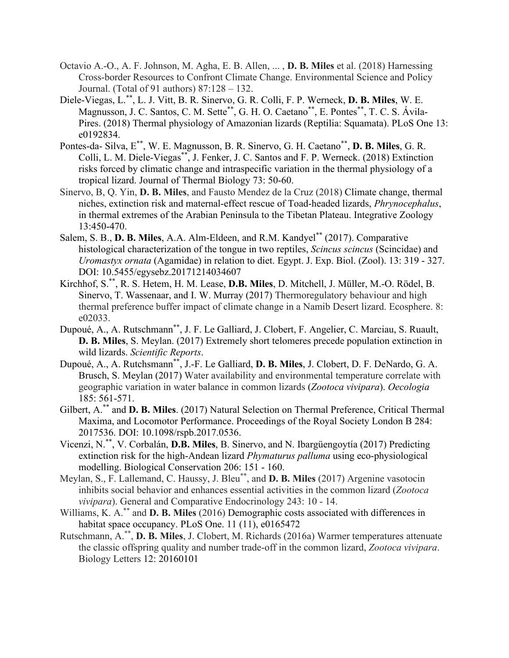- Octavio A.-O., A. F. Johnson, M. Agha, E. B. Allen, ... , **D. B. Miles** et al. (2018) Harnessing Cross-border Resources to Confront Climate Change. Environmental Science and Policy Journal. (Total of 91 authors) 87:128 – 132.
- Diele-Viegas, L.\*\*, L. J. Vitt, B. R. Sinervo, G. R. Colli, F. P. Werneck, **D. B. Miles**, W. E. Magnusson, J. C. Santos, C. M. Sette\*\*, G. H. O. Caetano\*\*, E. Pontes\*\*, T. C. S. Ávila-Pires. (2018) Thermal physiology of Amazonian lizards (Reptilia: Squamata). PLoS One 13: e0192834.
- Pontes-da- Silva, E\*\*, W. E. Magnusson, B. R. Sinervo, G. H. Caetano\*\*, **D. B. Miles**, G. R. Colli, L. M. Diele-Viegas\*\*, J. Fenker, J. C. Santos and F. P. Werneck. (2018) Extinction risks forced by climatic change and intraspecific variation in the thermal physiology of a tropical lizard. Journal of Thermal Biology 73: 50-60.
- Sinervo, B, Q. Yin, **D. B. Miles**, and Fausto Mendez de la Cruz (2018) Climate change, thermal niches, extinction risk and maternal-effect rescue of Toad-headed lizards, *Phrynocephalus*, in thermal extremes of the Arabian Peninsula to the Tibetan Plateau. Integrative Zoology 13:450-470.
- Salem, S. B., **D. B. Miles**, A.A. Alm-Eldeen, and R.M. Kandyel\*\* (2017). Comparative histological characterization of the tongue in two reptiles, *Scincus scincus* (Scincidae) and *Uromastyx ornata* (Agamidae) in relation to diet. Egypt. J. Exp. Biol. (Zool). 13: 319 - 327. DOI: 10.5455/egysebz.20171214034607
- Kirchhof, S.\*\*, R. S. Hetem, H. M. Lease, **D.B. Miles**, D. Mitchell, J. Müller, M.-O. Rödel, B. Sinervo, T. Wassenaar, and I. W. Murray (2017) Thermoregulatory behaviour and high thermal preference buffer impact of climate change in a Namib Desert lizard. Ecosphere. 8: e02033.
- Dupoué, A., A. Rutschmann\*\*, J. F. Le Galliard, J. Clobert, F. Angelier, C. Marciau, S. Ruault, **D. B. Miles**, S. Meylan. (2017) Extremely short telomeres precede population extinction in wild lizards. *Scientific Reports*.
- Dupoué, A., A. Rutchsmann\*\*, J.-F. Le Galliard, **D. B. Miles**, J. Clobert, D. F. DeNardo, G. A. Brusch, S. Meylan (2017) Water availability and environmental temperature correlate with geographic variation in water balance in common lizards (*Zootoca vivipara*). *Oecologia* 185: 561-571.
- Gilbert, A.\*\* and **D. B. Miles**. (2017) Natural Selection on Thermal Preference, Critical Thermal Maxima, and Locomotor Performance. Proceedings of the Royal Society London B 284: 2017536. DOI: 10.1098/rspb.2017.0536.
- Vicenzi, N.\*\*, V. Corbalán, **D.B. Miles**, B. Sinervo, and N. Ibargüengoytía (2017) Predicting extinction risk for the high-Andean lizard *Phymaturus palluma* using eco-physiological modelling. Biological Conservation 206: 151 - 160.
- Meylan, S., F. Lallemand, C. Haussy, J. Bleu\*\*, and **D. B. Miles** (2017) Argenine vasotocin inhibits social behavior and enhances essential activities in the common lizard (*Zootoca vivipara*). General and Comparative Endocrinology 243: 10 - 14.
- Williams, K. A.\*\* and **D. B. Miles** (2016) Demographic costs associated with differences in habitat space occupancy. PLoS One. 11 (11), e0165472
- Rutschmann, A.\*\*, **D. B. Miles**, J. Clobert, M. Richards (2016a) Warmer temperatures attenuate the classic offspring quality and number trade-off in the common lizard, *Zootoca vivipara*. Biology Letters 12: 20160101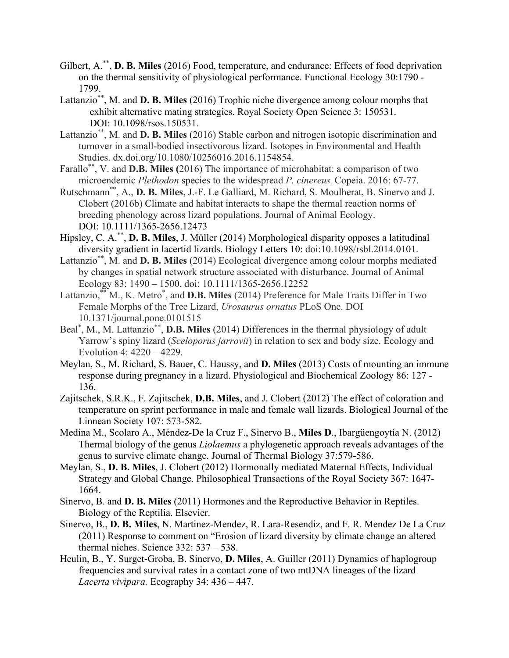- Gilbert, A.\*\*, **D. B. Miles** (2016) Food, temperature, and endurance: Effects of food deprivation on the thermal sensitivity of physiological performance. Functional Ecology 30:1790 - 1799.
- Lattanzio\*\*, M. and **D. B. Miles** (2016) Trophic niche divergence among colour morphs that exhibit alternative mating strategies. Royal Society Open Science 3: 150531. DOI: 10.1098/rsos.150531.
- Lattanzio\*\*, M. and **D. B. Miles** (2016) Stable carbon and nitrogen isotopic discrimination and turnover in a small-bodied insectivorous lizard. Isotopes in Environmental and Health Studies. dx.doi.org/10.1080/10256016.2016.1154854.
- Farallo\*\*, V. and **D.B. Miles (**2016) The importance of microhabitat: a comparison of two microendemic *Plethodon* species to the widespread *P. cinereus.* Copeia. 2016: 67-77.
- Rutschmann\*\*, A., **D. B. Miles**, J.-F. Le Galliard, M. Richard, S. Moulherat, B. Sinervo and J. Clobert (2016b) Climate and habitat interacts to shape the thermal reaction norms of breeding phenology across lizard populations. Journal of Animal Ecology. DOI: 10.1111/1365-2656.12473
- Hipsley, C. A.\*\*, **D. B. Miles**, J. Müller (2014) Morphological disparity opposes a latitudinal diversity gradient in lacertid lizards. Biology Letters 10: doi:10.1098/rsbl.2014.0101.
- Lattanzio\*\*, M. and **D. B. Miles** (2014) Ecological divergence among colour morphs mediated by changes in spatial network structure associated with disturbance. Journal of Animal Ecology 83: 1490 – 1500. doi: 10.1111/1365-2656.12252
- Lattanzio,<sup>\*\*</sup> M., K. Metro<sup>\*</sup>, and **D.B. Miles** (2014) Preference for Male Traits Differ in Two Female Morphs of the Tree Lizard, *Urosaurus ornatus* PLoS One. DOI 10.1371/journal.pone.0101515
- Beal\* , M., M. Lattanzio\*\*, **D.B. Miles** (2014) Differences in the thermal physiology of adult Yarrow's spiny lizard (*Sceloporus jarrovii*) in relation to sex and body size. Ecology and Evolution 4: 4220 – 4229.
- Meylan, S., M. Richard, S. Bauer, C. Haussy, and **D. Miles** (2013) Costs of mounting an immune response during pregnancy in a lizard. Physiological and Biochemical Zoology 86: 127 - 136.
- Zajitschek, S.R.K., F. Zajitschek, **D.B. Miles**, and J. Clobert (2012) The effect of coloration and temperature on sprint performance in male and female wall lizards. Biological Journal of the Linnean Society 107: 573-582.
- Medina M., Scolaro A., Méndez-De la Cruz F., Sinervo B., **Miles D**., Ibargüengoytía N. (2012) Thermal biology of the genus *Liolaemus* a phylogenetic approach reveals advantages of the genus to survive climate change. Journal of Thermal Biology 37:579-586.
- Meylan, S., **D. B. Miles**, J. Clobert (2012) Hormonally mediated Maternal Effects, Individual Strategy and Global Change. Philosophical Transactions of the Royal Society 367: 1647- 1664.
- Sinervo, B. and **D. B. Miles** (2011) Hormones and the Reproductive Behavior in Reptiles. Biology of the Reptilia. Elsevier.
- Sinervo, B., **D. B. Miles**, N. Martinez-Mendez, R. Lara-Resendiz, and F. R. Mendez De La Cruz (2011) Response to comment on "Erosion of lizard diversity by climate change an altered thermal niches. Science 332: 537 – 538.
- Heulin, B., Y. Surget-Groba, B. Sinervo, **D. Miles**, A. Guiller (2011) Dynamics of haplogroup frequencies and survival rates in a contact zone of two mtDNA lineages of the lizard *Lacerta vivipara.* Ecography 34: 436 – 447.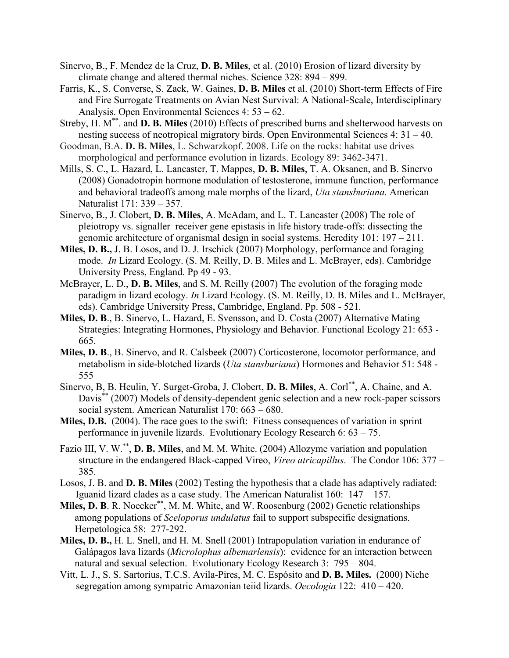- Sinervo, B., F. Mendez de la Cruz, **D. B. Miles**, et al. (2010) Erosion of lizard diversity by climate change and altered thermal niches. Science 328: 894 – 899.
- Farris, K., S. Converse, S. Zack, W. Gaines, **D. B. Miles** et al. (2010) Short-term Effects of Fire and Fire Surrogate Treatments on Avian Nest Survival: A National-Scale, Interdisciplinary Analysis. Open Environmental Sciences 4: 53 – 62.
- Streby, H. M\*\*. and **D. B. Miles** (2010) Effects of prescribed burns and shelterwood harvests on nesting success of neotropical migratory birds. Open Environmental Sciences 4: 31 – 40.
- Goodman, B.A. **D. B. Miles**, L. Schwarzkopf. 2008. Life on the rocks: habitat use drives morphological and performance evolution in lizards. Ecology 89: 3462-3471.
- Mills, S. C., L. Hazard, L. Lancaster, T. Mappes, **D. B. Miles**, T. A. Oksanen, and B. Sinervo (2008) Gonadotropin hormone modulation of testosterone, immune function, performance and behavioral tradeoffs among male morphs of the lizard, *Uta stansburiana.* American Naturalist 171: 339 – 357*.*
- Sinervo, B., J. Clobert, **D. B. Miles**, A. McAdam, and L. T. Lancaster (2008) The role of pleiotropy vs. signaller–receiver gene epistasis in life history trade-offs: dissecting the genomic architecture of organismal design in social systems. Heredity 101: 197 – 211.
- **Miles, D. B.,** J. B. Losos, and D. J. Irschick (2007) Morphology, performance and foraging mode. *In* Lizard Ecology. (S. M. Reilly, D. B. Miles and L. McBrayer, eds). Cambridge University Press, England. Pp 49 - 93.
- McBrayer, L. D., **D. B. Miles**, and S. M. Reilly (2007) The evolution of the foraging mode paradigm in lizard ecology. *In* Lizard Ecology. (S. M. Reilly, D. B. Miles and L. McBrayer, eds). Cambridge University Press, Cambridge, England. Pp. 508 - 521*.*
- **Miles, D. B**., B. Sinervo, L. Hazard, E. Svensson, and D. Costa (2007) Alternative Mating Strategies: Integrating Hormones, Physiology and Behavior. Functional Ecology 21: 653 - 665.
- **Miles, D. B**., B. Sinervo, and R. Calsbeek (2007) Corticosterone, locomotor performance, and metabolism in side-blotched lizards (*Uta stansburiana*) Hormones and Behavior 51: 548 - 555
- Sinervo, B, B. Heulin, Y. Surget-Groba, J. Clobert, **D. B. Miles**, A. Corl\*\*, A. Chaine, and A. Davis<sup>\*\*</sup> (2007) Models of density-dependent genic selection and a new rock-paper scissors social system. American Naturalist 170: 663 – 680.
- **Miles, D.B.** (2004). The race goes to the swift: Fitness consequences of variation in sprint performance in juvenile lizards. Evolutionary Ecology Research 6: 63 – 75.
- Fazio III, V. W.\*\*, **D. B. Miles**, and M. M. White. (2004) Allozyme variation and population structure in the endangered Black-capped Vireo, *Vireo atricapillus*. The Condor 106: 377 – 385.
- Losos, J. B. and **D. B. Miles** (2002) Testing the hypothesis that a clade has adaptively radiated: Iguanid lizard clades as a case study. The American Naturalist 160: 147 – 157.
- **Miles, D. B**. R. Noecker \*\*, M. M. White, and W. Roosenburg (2002) Genetic relationships among populations of *Sceloporus undulatus* fail to support subspecific designations. Herpetologica 58: 277-292.
- **Miles, D. B.,** H. L. Snell, and H. M. Snell (2001) Intrapopulation variation in endurance of Galápagos lava lizards (*Microlophus albemarlensis*): evidence for an interaction between natural and sexual selection. Evolutionary Ecology Research 3: 795 – 804.
- Vitt, L. J., S. S. Sartorius, T.C.S. Avila-Pires, M. C. Espósito and **D. B. Miles.** (2000) Niche segregation among sympatric Amazonian teiid lizards. *Oecologia* 122: 410 – 420.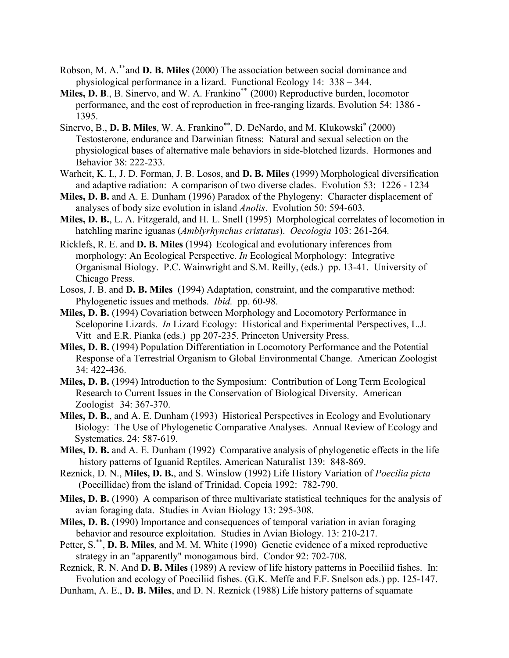- Robson, M. A.\*\*and **D. B. Miles** (2000) The association between social dominance and physiological performance in a lizard. Functional Ecology 14: 338 – 344.
- **Miles, D. B.**, B. Sinervo, and W. A. Frankino\*\* (2000) Reproductive burden, locomotor performance, and the cost of reproduction in free-ranging lizards. Evolution 54: 1386 - 1395.
- Sinervo, B., **D. B. Miles**, W. A. Frankino\*\*, D. DeNardo, and M. Klukowski\* (2000) Testosterone, endurance and Darwinian fitness: Natural and sexual selection on the physiological bases of alternative male behaviors in side-blotched lizards. Hormones and Behavior 38: 222-233.
- Warheit, K. I., J. D. Forman, J. B. Losos, and **D. B. Miles** (1999) Morphological diversification and adaptive radiation: A comparison of two diverse clades. Evolution 53: 1226 - 1234
- **Miles, D. B.** and A. E. Dunham (1996) Paradox of the Phylogeny: Character displacement of analyses of body size evolution in island *Anolis*. Evolution 50: 594-603.
- **Miles, D. B.**, L. A. Fitzgerald, and H. L. Snell (1995) Morphological correlates of locomotion in hatchling marine iguanas (*Amblyrhynchus cristatus*). *Oecologia* 103: 261-264*.*
- Ricklefs, R. E. and **D. B. Miles** (1994) Ecological and evolutionary inferences from morphology: An Ecological Perspective. *In* Ecological Morphology: Integrative Organismal Biology. P.C. Wainwright and S.M. Reilly, (eds.) pp. 13-41. University of Chicago Press.
- Losos, J. B. and **D. B. Miles** (1994) Adaptation, constraint, and the comparative method: Phylogenetic issues and methods. *Ibid.* pp. 60-98.
- **Miles, D. B.** (1994) Covariation between Morphology and Locomotory Performance in Sceloporine Lizards. *In* Lizard Ecology: Historical and Experimental Perspectives, L.J. Vitt and E.R. Pianka (eds.) pp 207-235. Princeton University Press.
- **Miles, D. B.** (1994) Population Differentiation in Locomotory Performance and the Potential Response of a Terrestrial Organism to Global Environmental Change. American Zoologist 34: 422-436.
- **Miles, D. B.** (1994) Introduction to the Symposium: Contribution of Long Term Ecological Research to Current Issues in the Conservation of Biological Diversity. American Zoologist 34: 367-370.
- **Miles, D. B.**, and A. E. Dunham (1993) Historical Perspectives in Ecology and Evolutionary Biology: The Use of Phylogenetic Comparative Analyses. Annual Review of Ecology and Systematics. 24: 587-619.
- **Miles, D. B.** and A. E. Dunham (1992) Comparative analysis of phylogenetic effects in the life history patterns of Iguanid Reptiles. American Naturalist 139: 848-869.
- Reznick, D. N., **Miles, D. B.**, and S. Winslow (1992) Life History Variation of *Poecilia picta* (Poecillidae) from the island of Trinidad. Copeia 1992: 782-790.
- **Miles, D. B.** (1990) A comparison of three multivariate statistical techniques for the analysis of avian foraging data. Studies in Avian Biology 13: 295-308.
- **Miles, D. B.** (1990) Importance and consequences of temporal variation in avian foraging behavior and resource exploitation. Studies in Avian Biology. 13: 210-217.
- Petter, S.<sup>\*\*</sup>, D. B. Miles, and M. M. White (1990) Genetic evidence of a mixed reproductive strategy in an "apparently" monogamous bird. Condor 92: 702-708.
- Reznick, R. N. And **D. B. Miles** (1989) A review of life history patterns in Poeciliid fishes. In: Evolution and ecology of Poeciliid fishes. (G.K. Meffe and F.F. Snelson eds.) pp. 125-147.
- Dunham, A. E., **D. B. Miles**, and D. N. Reznick (1988) Life history patterns of squamate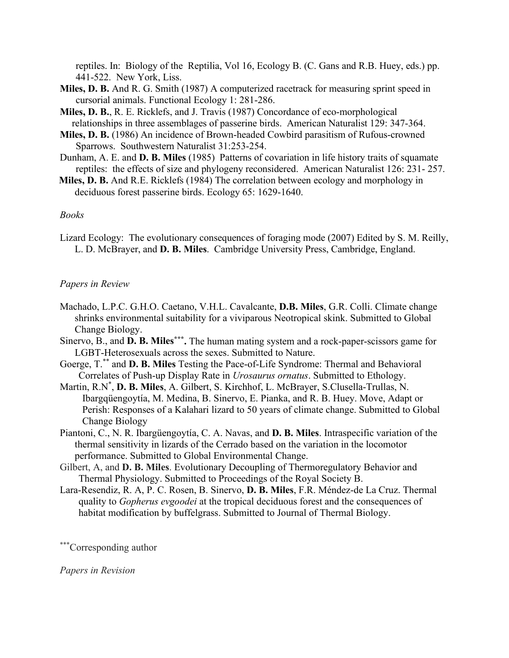reptiles. In: Biology of the Reptilia, Vol 16, Ecology B. (C. Gans and R.B. Huey, eds.) pp. 441-522. New York, Liss.

- **Miles, D. B.** And R. G. Smith (1987) A computerized racetrack for measuring sprint speed in cursorial animals. Functional Ecology 1: 281-286.
- **Miles, D. B.**, R. E. Ricklefs, and J. Travis (1987) Concordance of eco-morphological relationships in three assemblages of passerine birds. American Naturalist 129: 347-364.
- **Miles, D. B.** (1986) An incidence of Brown-headed Cowbird parasitism of Rufous-crowned Sparrows. Southwestern Naturalist 31:253-254.
- Dunham, A. E. and **D. B. Miles** (1985) Patterns of covariation in life history traits of squamate reptiles: the effects of size and phylogeny reconsidered. American Naturalist 126: 231- 257.
- **Miles, D. B.** And R.E. Ricklefs (1984) The correlation between ecology and morphology in deciduous forest passerine birds. Ecology 65: 1629-1640.

### *Books*

Lizard Ecology: The evolutionary consequences of foraging mode (2007) Edited by S. M. Reilly, L. D. McBrayer, and **D. B. Miles**. Cambridge University Press, Cambridge, England.

#### *Papers in Review*

- Machado, L.P.C. G.H.O. Caetano, V.H.L. Cavalcante, **D.B. Miles**, G.R. Colli. Climate change shrinks environmental suitability for a viviparous Neotropical skink. Submitted to Global Change Biology.
- Sinervo, B., and **D. B. Miles\*\*\*.** The human mating system and a rock-paper-scissors game for LGBT-Heterosexuals across the sexes. Submitted to Nature.
- Goerge, T.\*\* and **D. B. Miles** Testing the Pace-of-Life Syndrome: Thermal and Behavioral Correlates of Push-up Display Rate in *Urosaurus ornatus*. Submitted to Ethology.
- Martin, R.N\* , **D. B. Miles**, A. Gilbert, S. Kirchhof, L. McBrayer, S.Clusella-Trullas, N. Ibargqüengoytía, M. Medina, B. Sinervo, E. Pianka, and R. B. Huey. Move, Adapt or Perish: Responses of a Kalahari lizard to 50 years of climate change. Submitted to Global Change Biology
- Piantoni, C., N. R. Ibargüengoytía, C. A. Navas, and **D. B. Miles**. Intraspecific variation of the thermal sensitivity in lizards of the Cerrado based on the variation in the locomotor performance. Submitted to Global Environmental Change.
- Gilbert, A, and **D. B. Miles**. Evolutionary Decoupling of Thermoregulatory Behavior and Thermal Physiology. Submitted to Proceedings of the Royal Society B.
- Lara-Resendiz, R. A, P. C. Rosen, B. Sinervo, **D. B. Miles**, F.R. Méndez-de La Cruz. Thermal quality to *Gopherus evgoodei* at the tropical deciduous forest and the consequences of habitat modification by buffelgrass. Submitted to Journal of Thermal Biology.

\*\*\*Corresponding author

*Papers in Revision*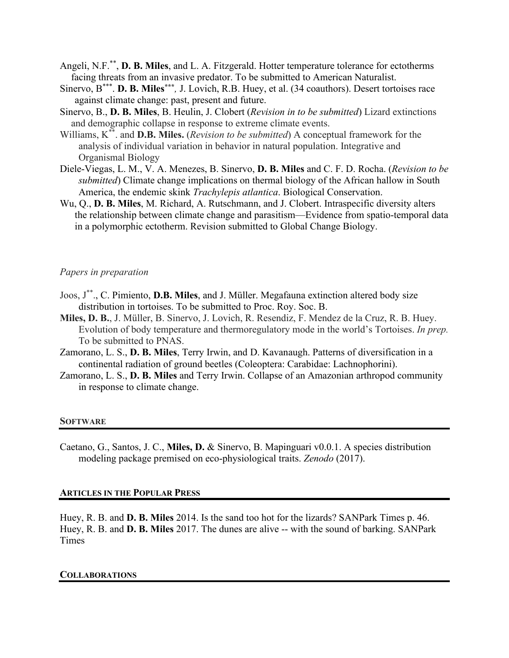- Angeli, N.F.\*\*, **D. B. Miles**, and L. A. Fitzgerald. Hotter temperature tolerance for ectotherms facing threats from an invasive predator. To be submitted to American Naturalist.
- Sinervo, B<sup>\*\*\*</sup>. **D. B. Miles**<sup>\*\*\*</sup>, J. Lovich, R.B. Huey, et al. (34 coauthors). Desert tortoises race against climate change: past, present and future.
- Sinervo, B., **D. B. Miles**, B. Heulin, J. Clobert (*Revision in to be submitted*) Lizard extinctions and demographic collapse in response to extreme climate events.
- Williams, K\*\*. and **D.B. Miles.** (*Revision to be submitted*) A conceptual framework for the analysis of individual variation in behavior in natural population. Integrative and Organismal Biology
- Diele-Viegas, L. M., V. A. Menezes, B. Sinervo, **D. B. Miles** and C. F. D. Rocha. (*Revision to be submitted*) Climate change implications on thermal biology of the African hallow in South America, the endemic skink *Trachylepis atlantica*. Biological Conservation.
- Wu, Q., **D. B. Miles**, M. Richard, A. Rutschmann, and J. Clobert. Intraspecific diversity alters the relationship between climate change and parasitism—Evidence from spatio-temporal data in a polymorphic ectotherm. Revision submitted to Global Change Biology.

### *Papers in preparation*

- Joos, J\*\*., C. Pimiento, **D.B. Miles**, and J. Müller. Megafauna extinction altered body size distribution in tortoises. To be submitted to Proc. Roy. Soc. B.
- **Miles, D. B.**, J. Müller, B. Sinervo, J. Lovich, R. Resendiz, F. Mendez de la Cruz, R. B. Huey. Evolution of body temperature and thermoregulatory mode in the world's Tortoises. *In prep.* To be submitted to PNAS.
- Zamorano, L. S., **D. B. Miles**, Terry Irwin, and D. Kavanaugh. Patterns of diversification in a continental radiation of ground beetles (Coleoptera: Carabidae: Lachnophorini).
- Zamorano, L. S., **D. B. Miles** and Terry Irwin. Collapse of an Amazonian arthropod community in response to climate change.

#### **SOFTWARE**

Caetano, G., Santos, J. C., **Miles, D.** & Sinervo, B. Mapinguari v0.0.1. A species distribution modeling package premised on eco-physiological traits. *Zenodo* (2017).

#### **ARTICLES IN THE POPULAR PRESS**

Huey, R. B. and **D. B. Miles** 2014. Is the sand too hot for the lizards? SANPark Times p. 46. Huey, R. B. and **D. B. Miles** 2017. The dunes are alive -- with the sound of barking. SANPark Times

### **COLLABORATIONS**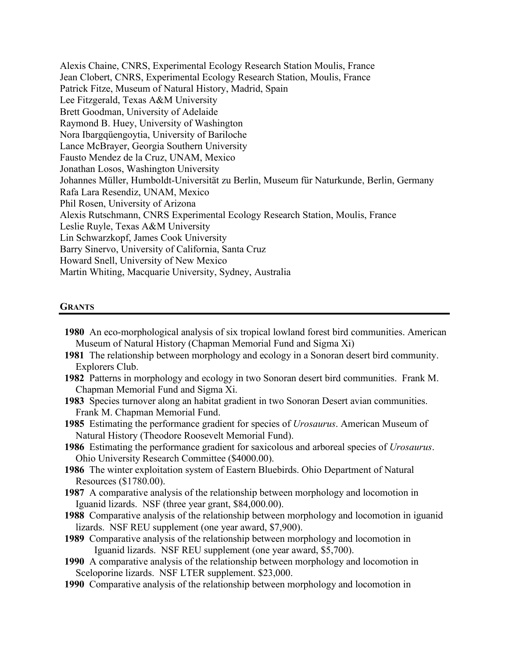Alexis Chaine, CNRS, Experimental Ecology Research Station Moulis, France Jean Clobert, CNRS, Experimental Ecology Research Station, Moulis, France Patrick Fitze, Museum of Natural History, Madrid, Spain Lee Fitzgerald, Texas A&M University Brett Goodman, University of Adelaide Raymond B. Huey, University of Washington Nora Ibargqüengoytia, University of Bariloche Lance McBrayer, Georgia Southern University Fausto Mendez de la Cruz, UNAM, Mexico Jonathan Losos, Washington University Johannes Müller, Humboldt-Universität zu Berlin, Museum für Naturkunde, Berlin, Germany Rafa Lara Resendiz, UNAM, Mexico Phil Rosen, University of Arizona Alexis Rutschmann, CNRS Experimental Ecology Research Station, Moulis, France Leslie Ruyle, Texas A&M University Lin Schwarzkopf, James Cook University Barry Sinervo, University of California, Santa Cruz Howard Snell, University of New Mexico Martin Whiting, Macquarie University, Sydney, Australia

### **GRANTS**

- **1980** An eco-morphological analysis of six tropical lowland forest bird communities. American Museum of Natural History (Chapman Memorial Fund and Sigma Xi)
- **1981** The relationship between morphology and ecology in a Sonoran desert bird community. Explorers Club.
- **1982** Patterns in morphology and ecology in two Sonoran desert bird communities. Frank M. Chapman Memorial Fund and Sigma Xi.
- **1983** Species turnover along an habitat gradient in two Sonoran Desert avian communities. Frank M. Chapman Memorial Fund.

**1985** Estimating the performance gradient for species of *Urosaurus*. American Museum of Natural History (Theodore Roosevelt Memorial Fund).

**1986** Estimating the performance gradient for saxicolous and arboreal species of *Urosaurus*. Ohio University Research Committee (\$4000.00).

- **1986** The winter exploitation system of Eastern Bluebirds. Ohio Department of Natural Resources (\$1780.00).
- **1987** A comparative analysis of the relationship between morphology and locomotion in Iguanid lizards. NSF (three year grant, \$84,000.00).

**1988** Comparative analysis of the relationship between morphology and locomotion in iguanid lizards. NSF REU supplement (one year award, \$7,900).

**1989** Comparative analysis of the relationship between morphology and locomotion in Iguanid lizards. NSF REU supplement (one year award, \$5,700).

- **1990** A comparative analysis of the relationship between morphology and locomotion in Sceloporine lizards. NSF LTER supplement. \$23,000.
- **1990** Comparative analysis of the relationship between morphology and locomotion in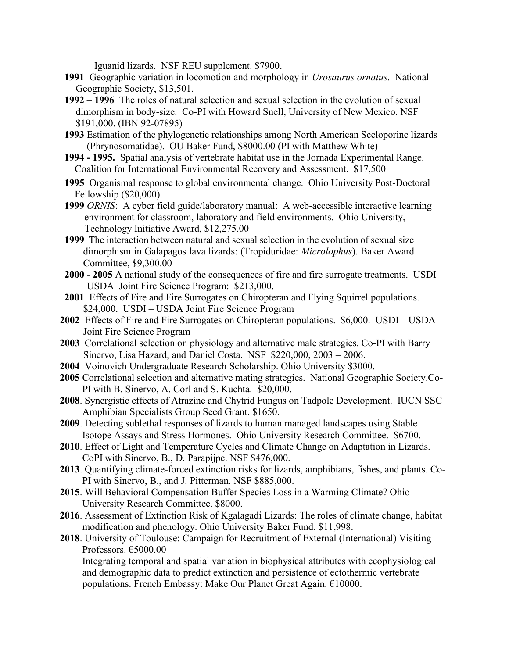Iguanid lizards. NSF REU supplement. \$7900.

- **1991** Geographic variation in locomotion and morphology in *Urosaurus ornatus*. National Geographic Society, \$13,501.
- **1992 1996** The roles of natural selection and sexual selection in the evolution of sexual dimorphism in body-size. Co-PI with Howard Snell, University of New Mexico. NSF \$191,000. (IBN 92-07895)
- **1993** Estimation of the phylogenetic relationships among North American Sceloporine lizards (Phrynosomatidae). OU Baker Fund, \$8000.00 (PI with Matthew White)
- **1994 - 1995.** Spatial analysis of vertebrate habitat use in the Jornada Experimental Range. Coalition for International Environmental Recovery and Assessment. \$17,500
- **1995** Organismal response to global environmental change. Ohio University Post-Doctoral Fellowship (\$20,000).
- **1999** *ORNIS*: A cyber field guide/laboratory manual: A web-accessible interactive learning environment for classroom, laboratory and field environments. Ohio University, Technology Initiative Award, \$12,275.00
- **1999** The interaction between natural and sexual selection in the evolution of sexual size dimorphism in Galapagos lava lizards: (Tropiduridae: *Microlophus*). Baker Award Committee, \$9,300.00
- **2000 2005** A national study of the consequences of fire and fire surrogate treatments. USDI USDA Joint Fire Science Program: \$213,000.
- **2001** Effects of Fire and Fire Surrogates on Chiropteran and Flying Squirrel populations. \$24,000. USDI – USDA Joint Fire Science Program
- **2002** Effects of Fire and Fire Surrogates on Chiropteran populations. \$6,000. USDI USDA Joint Fire Science Program
- **2003** Correlational selection on physiology and alternative male strategies. Co-PI with Barry Sinervo, Lisa Hazard, and Daniel Costa. NSF \$220,000, 2003 – 2006.
- **2004** Voinovich Undergraduate Research Scholarship. Ohio University \$3000.
- **2005** Correlational selection and alternative mating strategies. National Geographic Society.Co-PI with B. Sinervo, A. Corl and S. Kuchta. \$20,000.
- **2008**. Synergistic effects of Atrazine and Chytrid Fungus on Tadpole Development. IUCN SSC Amphibian Specialists Group Seed Grant. \$1650.
- **2009**. Detecting sublethal responses of lizards to human managed landscapes using Stable Isotope Assays and Stress Hormones. Ohio University Research Committee. \$6700.
- **2010**. Effect of Light and Temperature Cycles and Climate Change on Adaptation in Lizards. CoPI with Sinervo, B., D. Parapijpe. NSF \$476,000.
- **2013**. Quantifying climate-forced extinction risks for lizards, amphibians, fishes, and plants. Co-PI with Sinervo, B., and J. Pitterman. NSF \$885,000.
- **2015**. Will Behavioral Compensation Buffer Species Loss in a Warming Climate? Ohio University Research Committee. \$8000.
- **2016**. Assessment of Extinction Risk of Kgalagadi Lizards: The roles of climate change, habitat modification and phenology. Ohio University Baker Fund. \$11,998.
- **2018**. University of Toulouse: Campaign for Recruitment of External (International) Visiting Professors. €5000.00

Integrating temporal and spatial variation in biophysical attributes with ecophysiological and demographic data to predict extinction and persistence of ectothermic vertebrate populations. French Embassy: Make Our Planet Great Again. €10000.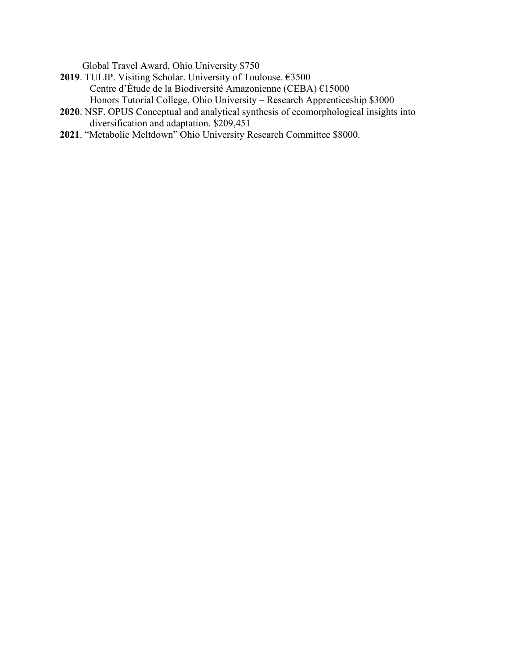Global Travel Award, Ohio University \$750

- **2019**. TULIP. Visiting Scholar. University of Toulouse. €3500 Centre d'Ètude de la Biodiversité Amazonienne (CEBA) €15000 Honors Tutorial College, Ohio University – Research Apprenticeship \$3000
- **2020**. NSF. OPUS Conceptual and analytical synthesis of ecomorphological insights into diversification and adaptation. \$209,451
- **2021**. "Metabolic Meltdown" Ohio University Research Committee \$8000.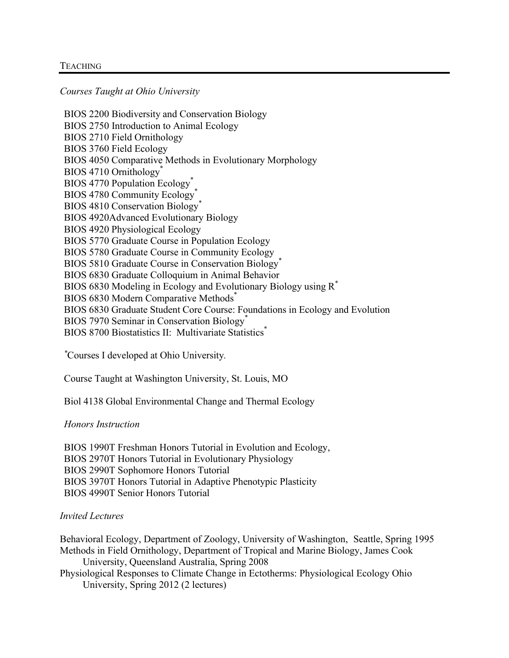### **TEACHING**

*Courses Taught at Ohio University*

BIOS 2200 Biodiversity and Conservation Biology BIOS 2750 Introduction to Animal Ecology BIOS 2710 Field Ornithology BIOS 3760 Field Ecology BIOS 4050 Comparative Methods in Evolutionary Morphology BIOS 4710 Ornithology<sup>\*</sup> BIOS 4770 Population Ecology<sup>\*</sup> BIOS 4780 Community Ecology<sup>\*</sup> BIOS 4810 Conservation Biology<sup>\*</sup> BIOS 4920Advanced Evolutionary Biology BIOS 4920 Physiological Ecology BIOS 5770 Graduate Course in Population Ecology BIOS 5780 Graduate Course in Community Ecology BIOS 5810 Graduate Course in Conservation Biology<sup>\*</sup> BIOS 6830 Graduate Colloquium in Animal Behavior BIOS 6830 Modeling in Ecology and Evolutionary Biology using R\* BIOS 6830 Modern Comparative Methods\* BIOS 6830 Graduate Student Core Course: Foundations in Ecology and Evolution BIOS 7970 Seminar in Conservation Biology<sup>\*</sup> BIOS 8700 Biostatistics II: Multivariate Statistics<sup>\*</sup>

*\** Courses I developed at Ohio University*.*

Course Taught at Washington University, St. Louis, MO

Biol 4138 Global Environmental Change and Thermal Ecology

## *Honors Instruction*

BIOS 1990T Freshman Honors Tutorial in Evolution and Ecology, BIOS 2970T Honors Tutorial in Evolutionary Physiology BIOS 2990T Sophomore Honors Tutorial BIOS 3970T Honors Tutorial in Adaptive Phenotypic Plasticity BIOS 4990T Senior Honors Tutorial

## *Invited Lectures*

Behavioral Ecology, Department of Zoology, University of Washington, Seattle, Spring 1995 Methods in Field Ornithology, Department of Tropical and Marine Biology, James Cook University, Queensland Australia, Spring 2008 Physiological Responses to Climate Change in Ectotherms: Physiological Ecology Ohio University, Spring 2012 (2 lectures)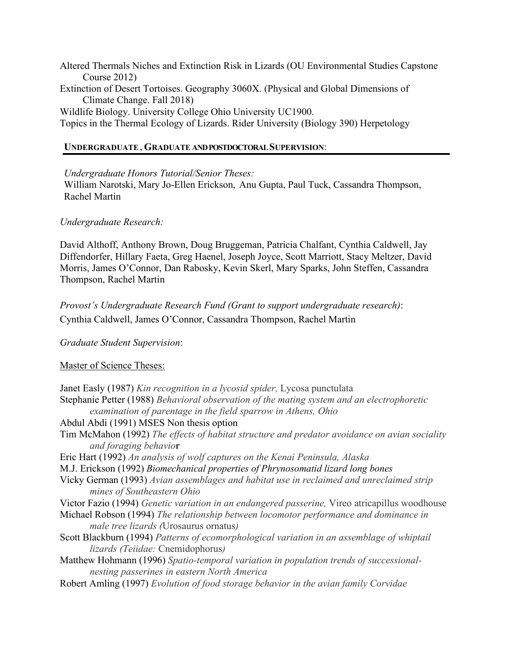Altered Thermals Niches and Extinction Risk in Lizards (OU Environmental Studies Capstone Course 2012) Extinction of Desert Tortoises. Geography 3060X. (Physical and Global Dimensions of Climate Change. Fall 2018) Wildlife Biology. University College Ohio University UC1900. Topics in the Thermal Ecology of Lizards. Rider University (Biology 390) Herpetology

# **UNDERGRADUATE , GRADUATE AND POSTDOCTORAL SUPERVISION**:

*Undergraduate Honors Tutorial/Senior Theses:*

William Narotski, Mary Jo-Ellen Erickson, Anu Gupta, Paul Tuck, Cassandra Thompson, Rachel Martin

# *Undergraduate Research:*

David Althoff, Anthony Brown, Doug Bruggeman, Patricia Chalfant, Cynthia Caldwell, Jay Diffendorfer, Hillary Faeta, Greg Haenel, Joseph Joyce, Scott Marriott, Stacy Meltzer, David Morris, James O'Connor, Dan Rabosky, Kevin Skerl, Mary Sparks, John Steffen, Cassandra Thompson, Rachel Martin

*Provost's Undergraduate Research Fund (Grant to support undergraduate research)*: Cynthia Caldwell, James O'Connor, Cassandra Thompson, Rachel Martin

*Graduate Student Supervision*:

Master of Science Theses:

Janet Easly (1987) *Kin recognition in a lycosid spider,* Lycosa punctulata Stephanie Petter (1988) *Behavioral observation of the mating system and an electrophoretic examination of parentage in the field sparrow in Athens, Ohio* Abdul Abdi (1991) MSES Non thesis option Tim McMahon (1992) *The effects of habitat structure and predator avoidance on avian sociality and foraging behavio***r** Eric Hart (1992) *An analysis of wolf captures on the Kenai Peninsula, Alaska* M.J. Erickson (1992) *Biomechanical properties of Phrynosomatid lizard long bones* Vicky German (1993) *Avian assemblages and habitat use in reclaimed and unreclaimed strip mines of Southeastern Ohio* Victor Fazio (1994) *Genetic variation in an endangered passerine,* Vireo atricapillus woodhouse Michael Robson (1994) *The relationship between locomotor performance and dominance in male tree lizards (*Urosaurus ornatus*)* Scott Blackburn (1994) *Patterns of ecomorphological variation in an assemblage of whiptail lizards (Teiidae:* Cnemidophorus*)* Matthew Hohmann (1996) *Spatio-temporal variation in population trends of successionalnesting passerines in eastern North America* Robert Amling (1997) *Evolution of food storage behavior in the avian family Corvidae*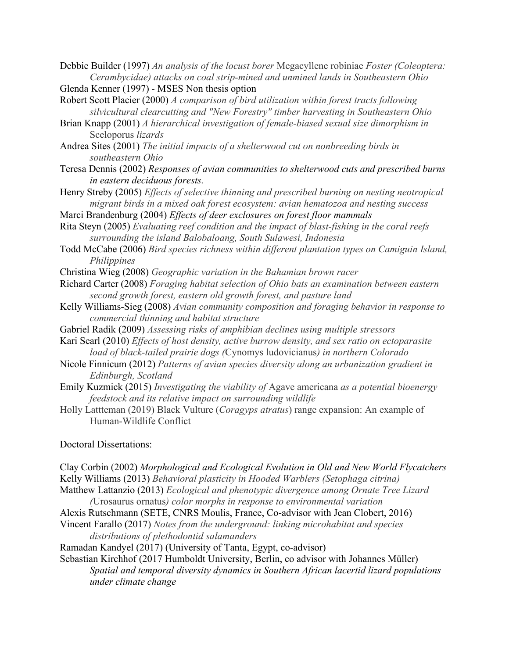Debbie Builder (1997) *An analysis of the locust borer* Megacyllene robiniae *Foster (Coleoptera: Cerambycidae) attacks on coal strip-mined and unmined lands in Southeastern Ohio* Glenda Kenner (1997) - MSES Non thesis option

Robert Scott Placier (2000) *A comparison of bird utilization within forest tracts following silvicultural clearcutting and "New Forestry" timber harvesting in Southeastern Ohio*

Brian Knapp (2001) *A hierarchical investigation of female-biased sexual size dimorphism in*  Sceloporus *lizards*

Andrea Sites (2001) *The initial impacts of a shelterwood cut on nonbreeding birds in southeastern Ohio*

Teresa Dennis (2002) *Responses of avian communities to shelterwood cuts and prescribed burns in eastern deciduous forests.*

Henry Streby (2005) *Effects of selective thinning and prescribed burning on nesting neotropical migrant birds in a mixed oak forest ecosystem: avian hematozoa and nesting success*

Marci Brandenburg (2004) *Effects of deer exclosures on forest floor mammals*

Rita Steyn (2005) *Evaluating reef condition and the impact of blast-fishing in the coral reefs surrounding the island Balobaloang, South Sulawesi, Indonesia*

Todd McCabe (2006) *Bird species richness within different plantation types on Camiguin Island, Philippines*

Christina Wieg (2008) *Geographic variation in the Bahamian brown racer*

Richard Carter (2008) *Foraging habitat selection of Ohio bats an examination between eastern second growth forest, eastern old growth forest, and pasture land*

- Kelly Williams-Sieg (2008) *Avian community composition and foraging behavior in response to commercial thinning and habitat structure*
- Gabriel Radik (2009) *Assessing risks of amphibian declines using multiple stressors*

Kari Searl (2010) *Effects of host density, active burrow density, and sex ratio on ectoparasite load of black-tailed prairie dogs (*Cynomys ludovicianus*) in northern Colorado*

- Nicole Finnicum (2012) *Patterns of avian species diversity along an urbanization gradient in Edinburgh, Scotland*
- Emily Kuzmick (2015) *Investigating the viability of* Agave americana *as a potential bioenergy feedstock and its relative impact on surrounding wildlife*

Holly Lattteman (2019) Black Vulture (*Coragyps atratus*) range expansion: An example of Human-Wildlife Conflict

Doctoral Dissertations:

| Clay Corbin (2002) Morphological and Ecological Evolution in Old and New World Flycatchers |
|--------------------------------------------------------------------------------------------|
| Kelly Williams (2013) Behavioral plasticity in Hooded Warblers (Setophaga citrina)         |
| Matthew Lattanzio (2013) Ecological and phenotypic divergence among Ornate Tree Lizard     |

*(*Urosaurus ornatus*) color morphs in response to environmental variation*

Alexis Rutschmann (SETE, CNRS Moulis, France, Co-advisor with Jean Clobert, 2016)

Vincent Farallo (2017) *Notes from the underground: linking microhabitat and species distributions of plethodontid salamanders*

Ramadan Kandyel (2017) (University of Tanta, Egypt, co-advisor)

Sebastian Kirchhof (2017 Humboldt University, Berlin, co advisor with Johannes Müller) *Spatial and temporal diversity dynamics in Southern African lacertid lizard populations under climate change*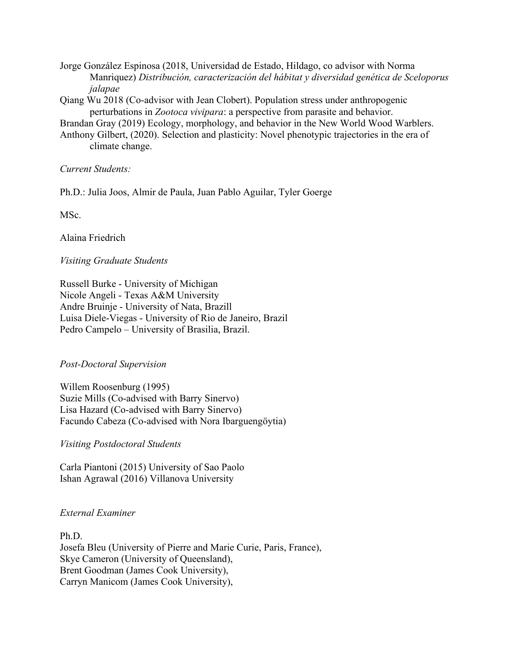Jorge González Espinosa (2018, Universidad de Estado, Hildago, co advisor with Norma Manriquez) *Distribución, caracterización del hábitat y diversidad genética de Sceloporus jalapae*

Qiang Wu 2018 (Co-advisor with Jean Clobert). Population stress under anthropogenic perturbations in *Zootoca vivipara*: a perspective from parasite and behavior.

Brandan Gray (2019) Ecology, morphology, and behavior in the New World Wood Warblers.

Anthony Gilbert, (2020). Selection and plasticity: Novel phenotypic trajectories in the era of climate change.

*Current Students:*

Ph.D.: Julia Joos, Almir de Paula, Juan Pablo Aguilar, Tyler Goerge

MSc.

Alaina Friedrich

*Visiting Graduate Students*

Russell Burke - University of Michigan Nicole Angeli - Texas A&M University Andre Bruinje - University of Nata, Brazill Luisa Diele-Viegas - University of Rio de Janeiro, Brazil Pedro Campelo – University of Brasilia, Brazil.

*Post-Doctoral Supervision*

Willem Roosenburg (1995) Suzie Mills (Co-advised with Barry Sinervo) Lisa Hazard (Co-advised with Barry Sinervo) Facundo Cabeza (Co-advised with Nora Ibarguengöytia)

*Visiting Postdoctoral Students*

Carla Piantoni (2015) University of Sao Paolo Ishan Agrawal (2016) Villanova University

# *External Examiner*

Ph.D. Josefa Bleu (University of Pierre and Marie Curie, Paris, France), Skye Cameron (University of Queensland), Brent Goodman (James Cook University), Carryn Manicom (James Cook University),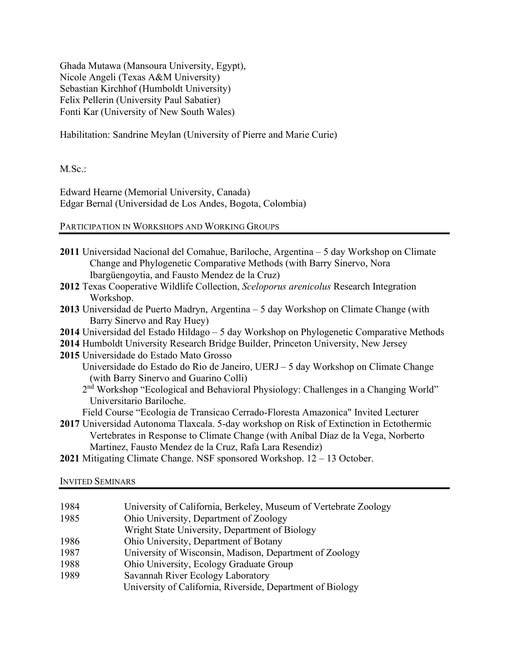Ghada Mutawa (Mansoura University, Egypt), Nicole Angeli (Texas A&M University) Sebastian Kirchhof (Humboldt University) Felix Pellerin (University Paul Sabatier) Fonti Kar (University of New South Wales)

Habilitation: Sandrine Meylan (University of Pierre and Marie Curie)

M.Sc.:

Edward Hearne (Memorial University, Canada) Edgar Bernal (Universidad de Los Andes, Bogota, Colombia)

# PARTICIPATION IN WORKSHOPS AND WORKING GROUPS

| 2011 Universidad Nacional del Comahue, Bariloche, Argentina – 5 day Workshop on Climate         |
|-------------------------------------------------------------------------------------------------|
| Change and Phylogenetic Comparative Methods (with Barry Sinervo, Nora                           |
| Ibargüengoytia, and Fausto Mendez de la Cruz)                                                   |
| 2012 Texas Cooperative Wildlife Collection, Sceloporus arenicolus Research Integration          |
| Workshop.                                                                                       |
| 2013 Universidad de Puerto Madryn, Argentina – 5 day Workshop on Climate Change (with           |
| Barry Sinervo and Ray Huey)                                                                     |
| 2014 Universidad del Estado Hildago – 5 day Workshop on Phylogenetic Comparative Methods        |
| 2014 Humboldt University Research Bridge Builder, Princeton University, New Jersey              |
| 2015 Universidade do Estado Mato Grosso                                                         |
| Universidade do Estado do Rio de Janeiro, UERJ - 5 day Workshop on Climate Change               |
| (with Barry Sinervo and Guarino Colli)                                                          |
| 2 <sup>nd</sup> Workshop "Ecological and Behavioral Physiology: Challenges in a Changing World" |
| Universitario Bariloche.                                                                        |
| Field Course "Ecologia de Transicao Cerrado-Floresta Amazonica" Invited Lecturer                |
| 2017 Universidad Autonoma Tlaxcala. 5-day workshop on Risk of Extinction in Ectothermic         |
| Vertebrates in Response to Climate Change (with Anibal Díaz de la Vega, Norberto                |

Martinez, Fausto Mendez de la Cruz, Rafa Lara Resendiz)

**2021** Mitigating Climate Change. NSF sponsored Workshop. 12 – 13 October.

### INVITED SEMINARS

| 1984 | University of California, Berkeley, Museum of Vertebrate Zoology |
|------|------------------------------------------------------------------|
| 1985 | Ohio University, Department of Zoology                           |
|      | Wright State University, Department of Biology                   |
| 1986 | Ohio University, Department of Botany                            |
| 1987 | University of Wisconsin, Madison, Department of Zoology          |
| 1988 | Ohio University, Ecology Graduate Group                          |
| 1989 | Savannah River Ecology Laboratory                                |
|      | University of California, Riverside, Department of Biology       |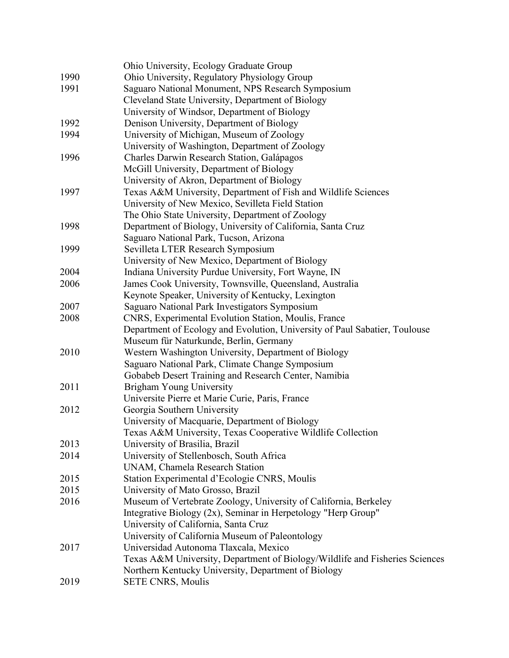| Ohio University, Ecology Graduate Group                                     |
|-----------------------------------------------------------------------------|
| Ohio University, Regulatory Physiology Group                                |
| Saguaro National Monument, NPS Research Symposium                           |
| Cleveland State University, Department of Biology                           |
| University of Windsor, Department of Biology                                |
| Denison University, Department of Biology                                   |
| University of Michigan, Museum of Zoology                                   |
| University of Washington, Department of Zoology                             |
| Charles Darwin Research Station, Galápagos                                  |
| McGill University, Department of Biology                                    |
| University of Akron, Department of Biology                                  |
| Texas A&M University, Department of Fish and Wildlife Sciences              |
| University of New Mexico, Sevilleta Field Station                           |
| The Ohio State University, Department of Zoology                            |
| Department of Biology, University of California, Santa Cruz                 |
| Saguaro National Park, Tucson, Arizona                                      |
| Sevilleta LTER Research Symposium                                           |
| University of New Mexico, Department of Biology                             |
| Indiana University Purdue University, Fort Wayne, IN                        |
| James Cook University, Townsville, Queensland, Australia                    |
| Keynote Speaker, University of Kentucky, Lexington                          |
| Saguaro National Park Investigators Symposium                               |
| CNRS, Experimental Evolution Station, Moulis, France                        |
| Department of Ecology and Evolution, University of Paul Sabatier, Toulouse  |
| Museum für Naturkunde, Berlin, Germany                                      |
| Western Washington University, Department of Biology                        |
| Saguaro National Park, Climate Change Symposium                             |
| Gobabeb Desert Training and Research Center, Namibia                        |
| <b>Brigham Young University</b>                                             |
| Universite Pierre et Marie Curie, Paris, France                             |
| Georgia Southern University                                                 |
| University of Macquarie, Department of Biology                              |
| Texas A&M University, Texas Cooperative Wildlife Collection                 |
| University of Brasilia, Brazil                                              |
| University of Stellenbosch, South Africa                                    |
| UNAM, Chamela Research Station                                              |
| Station Experimental d'Ecologie CNRS, Moulis                                |
| University of Mato Grosso, Brazil                                           |
| Museum of Vertebrate Zoology, University of California, Berkeley            |
| Integrative Biology (2x), Seminar in Herpetology "Herp Group"               |
| University of California, Santa Cruz                                        |
| University of California Museum of Paleontology                             |
| Universidad Autonoma Tlaxcala, Mexico                                       |
| Texas A&M University, Department of Biology/Wildlife and Fisheries Sciences |
| Northern Kentucky University, Department of Biology                         |
| <b>SETE CNRS, Moulis</b>                                                    |
|                                                                             |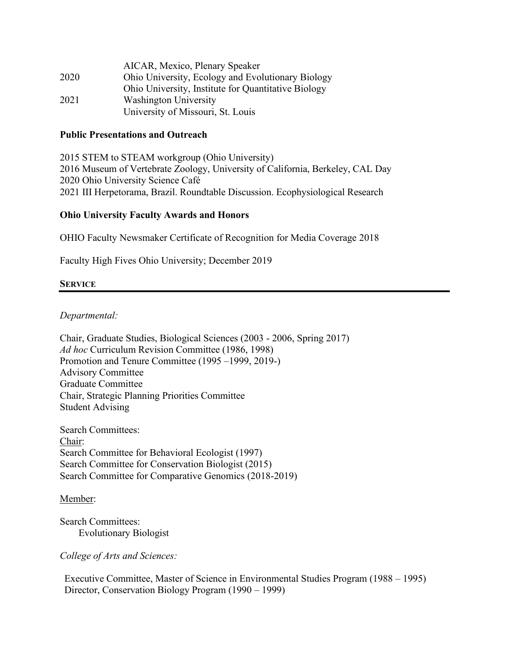|      | AICAR, Mexico, Plenary Speaker                      |
|------|-----------------------------------------------------|
| 2020 | Ohio University, Ecology and Evolutionary Biology   |
|      | Ohio University, Institute for Quantitative Biology |
| 2021 | <b>Washington University</b>                        |
|      | University of Missouri, St. Louis                   |

### **Public Presentations and Outreach**

2015 STEM to STEAM workgroup (Ohio University) 2016 Museum of Vertebrate Zoology, University of California, Berkeley, CAL Day 2020 Ohio University Science Café 2021 III Herpetorama, Brazil. Roundtable Discussion. Ecophysiological Research

### **Ohio University Faculty Awards and Honors**

OHIO Faculty Newsmaker Certificate of Recognition for Media Coverage 2018

Faculty High Fives Ohio University; December 2019

### **SERVICE**

### *Departmental:*

Chair, Graduate Studies, Biological Sciences (2003 - 2006, Spring 2017) *Ad hoc* Curriculum Revision Committee (1986, 1998) Promotion and Tenure Committee (1995 –1999, 2019-) Advisory Committee Graduate Committee Chair, Strategic Planning Priorities Committee Student Advising

Search Committees: Chair: Search Committee for Behavioral Ecologist (1997) Search Committee for Conservation Biologist (2015) Search Committee for Comparative Genomics (2018-2019)

Member:

Search Committees: Evolutionary Biologist

*College of Arts and Sciences:*

Executive Committee, Master of Science in Environmental Studies Program (1988 – 1995) Director, Conservation Biology Program (1990 – 1999)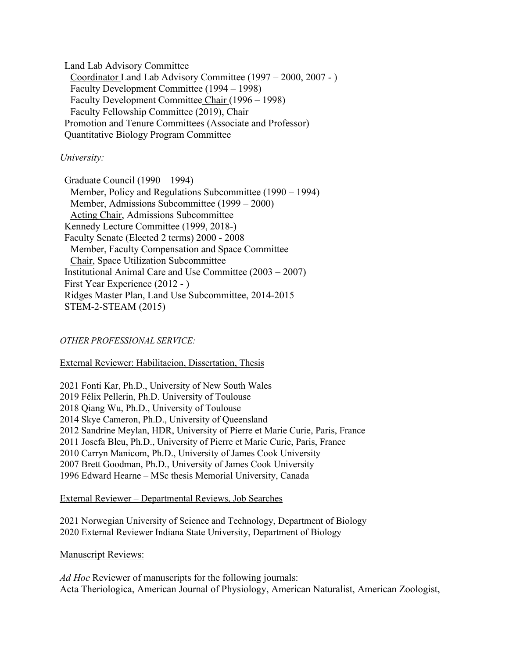Land Lab Advisory Committee Coordinator Land Lab Advisory Committee (1997 – 2000, 2007 - ) Faculty Development Committee (1994 – 1998) Faculty Development Committee Chair (1996 – 1998) Faculty Fellowship Committee (2019), Chair Promotion and Tenure Committees (Associate and Professor) Quantitative Biology Program Committee

### *University:*

Graduate Council (1990 – 1994) Member, Policy and Regulations Subcommittee (1990 – 1994) Member, Admissions Subcommittee (1999 – 2000) Acting Chair, Admissions Subcommittee Kennedy Lecture Committee (1999, 2018-) Faculty Senate (Elected 2 terms) 2000 - 2008 Member, Faculty Compensation and Space Committee Chair, Space Utilization Subcommittee Institutional Animal Care and Use Committee (2003 – 2007) First Year Experience (2012 - ) Ridges Master Plan, Land Use Subcommittee, 2014-2015 STEM-2-STEAM (2015)

### *OTHER PROFESSIONAL SERVICE:*

### External Reviewer: Habilitacion, Dissertation, Thesis

2021 Fonti Kar, Ph.D., University of New South Wales 2019 Félix Pellerin, Ph.D. University of Toulouse 2018 Qiang Wu, Ph.D., University of Toulouse 2014 Skye Cameron, Ph.D., University of Queensland 2012 Sandrine Meylan, HDR, University of Pierre et Marie Curie, Paris, France 2011 Josefa Bleu, Ph.D., University of Pierre et Marie Curie, Paris, France 2010 Carryn Manicom, Ph.D., University of James Cook University 2007 Brett Goodman, Ph.D., University of James Cook University 1996 Edward Hearne – MSc thesis Memorial University, Canada

### External Reviewer – Departmental Reviews, Job Searches

2021 Norwegian University of Science and Technology, Department of Biology 2020 External Reviewer Indiana State University, Department of Biology

### Manuscript Reviews:

*Ad Hoc* Reviewer of manuscripts for the following journals: Acta Theriologica, American Journal of Physiology, American Naturalist, American Zoologist,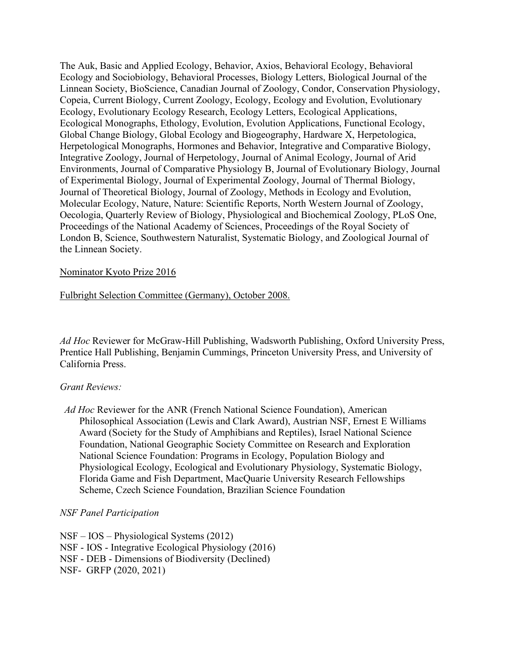The Auk, Basic and Applied Ecology, Behavior, Axios, Behavioral Ecology, Behavioral Ecology and Sociobiology, Behavioral Processes, Biology Letters, Biological Journal of the Linnean Society, BioScience, Canadian Journal of Zoology, Condor, Conservation Physiology, Copeia, Current Biology, Current Zoology, Ecology, Ecology and Evolution, Evolutionary Ecology, Evolutionary Ecology Research, Ecology Letters, Ecological Applications, Ecological Monographs, Ethology, Evolution, Evolution Applications, Functional Ecology, Global Change Biology, Global Ecology and Biogeography, Hardware X, Herpetologica, Herpetological Monographs, Hormones and Behavior, Integrative and Comparative Biology, Integrative Zoology, Journal of Herpetology, Journal of Animal Ecology, Journal of Arid Environments, Journal of Comparative Physiology B, Journal of Evolutionary Biology, Journal of Experimental Biology, Journal of Experimental Zoology, Journal of Thermal Biology, Journal of Theoretical Biology, Journal of Zoology, Methods in Ecology and Evolution, Molecular Ecology, Nature, Nature: Scientific Reports, North Western Journal of Zoology, Oecologia, Quarterly Review of Biology, Physiological and Biochemical Zoology, PLoS One, Proceedings of the National Academy of Sciences, Proceedings of the Royal Society of London B, Science, Southwestern Naturalist, Systematic Biology, and Zoological Journal of the Linnean Society.

## Nominator Kyoto Prize 2016

## Fulbright Selection Committee (Germany), October 2008.

*Ad Hoc* Reviewer for McGraw-Hill Publishing, Wadsworth Publishing, Oxford University Press, Prentice Hall Publishing, Benjamin Cummings, Princeton University Press, and University of California Press.

## *Grant Reviews:*

*Ad Hoc* Reviewer for the ANR (French National Science Foundation), American Philosophical Association (Lewis and Clark Award), Austrian NSF, Ernest E Williams Award (Society for the Study of Amphibians and Reptiles), Israel National Science Foundation, National Geographic Society Committee on Research and Exploration National Science Foundation: Programs in Ecology, Population Biology and Physiological Ecology, Ecological and Evolutionary Physiology, Systematic Biology, Florida Game and Fish Department, MacQuarie University Research Fellowships Scheme, Czech Science Foundation, Brazilian Science Foundation

## *NSF Panel Participation*

NSF – IOS – Physiological Systems (2012) NSF - IOS - Integrative Ecological Physiology (2016) NSF - DEB - Dimensions of Biodiversity (Declined)

NSF- GRFP (2020, 2021)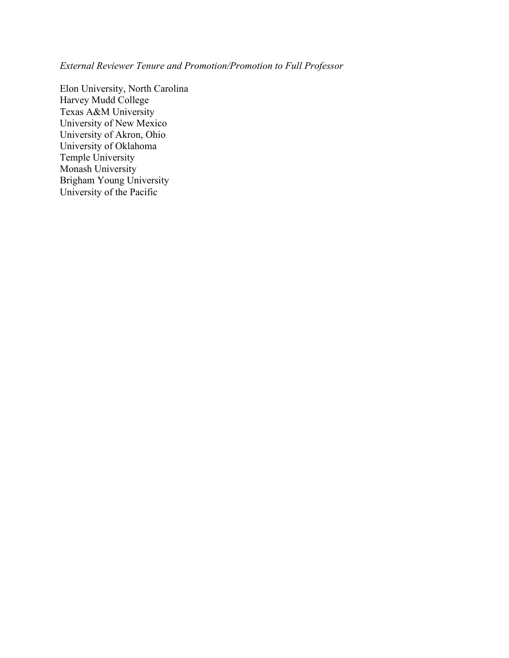*External Reviewer Tenure and Promotion/Promotion to Full Professor*

Elon University, North Carolina Harvey Mudd College Texas A&M University University of New Mexico University of Akron, Ohio University of Oklahoma Temple University Monash University Brigham Young University University of the Pacific